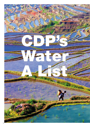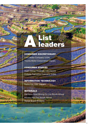# List A leaders

CONSUMER DISCRETIONARY

Ford Motor Company (USA) Toyota Motor Corporation (Japan)

## CONSUMER STAPLES

Asahi Group Holdings, Ltd (Japan) Colgate Palmolive Company (USA)

# INFORMATION TECHNOLOGY

Rohm Co., Ltd. (Japan)

### MATERIALS

Harmony Gold Mining Co Ltd (South Africa) Kumba Iron Ore (South Africa) Metsä Board (Finland)